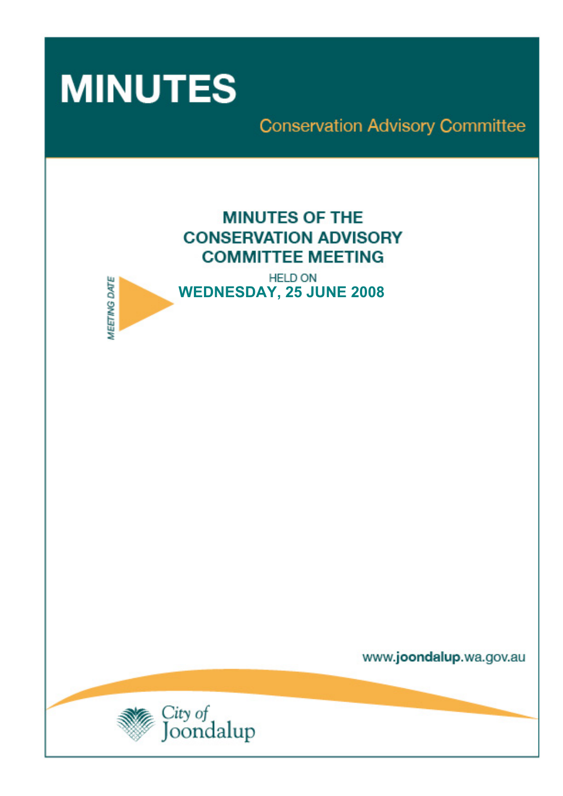

**MEETING DATE** 

**Conservation Advisory Committee** 



**HELD ON WEDNESDAY, 25 JUNE 2008** 

www.joondalup.wa.gov.au

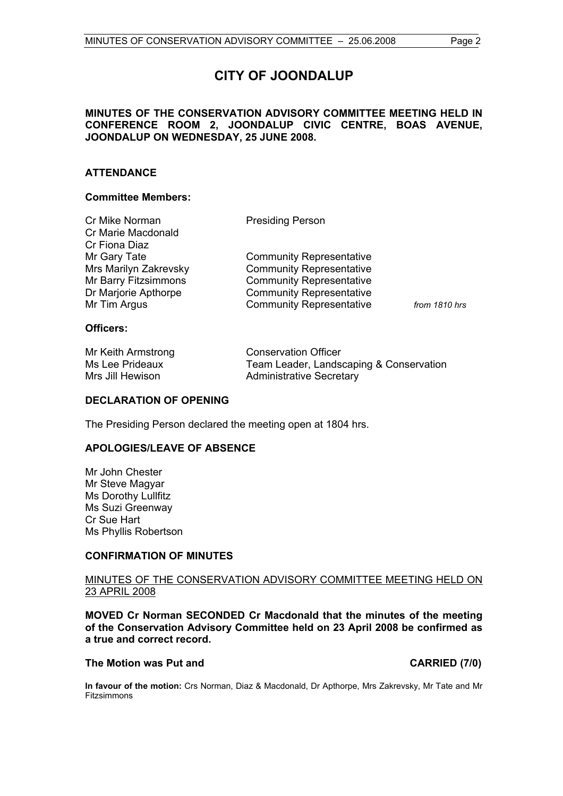# **CITY OF JOONDALUP**

# **MINUTES OF THE CONSERVATION ADVISORY COMMITTEE MEETING HELD IN CONFERENCE ROOM 2, JOONDALUP CIVIC CENTRE, BOAS AVENUE, JOONDALUP ON WEDNESDAY, 25 JUNE 2008.**

# **ATTENDANCE**

### **Committee Members:**

| Cr Mike Norman        | <b>Presiding Person</b>         |               |
|-----------------------|---------------------------------|---------------|
| Cr Marie Macdonald    |                                 |               |
| Cr Fiona Diaz         |                                 |               |
| Mr Gary Tate          | <b>Community Representative</b> |               |
| Mrs Marilyn Zakrevsky | <b>Community Representative</b> |               |
| Mr Barry Fitzsimmons  | <b>Community Representative</b> |               |
| Dr Marjorie Apthorpe  | <b>Community Representative</b> |               |
| Mr Tim Argus          | <b>Community Representative</b> | from 1810 hrs |
|                       |                                 |               |

# **Officers:**

| Mr Keith Armstrong | <b>Conservation Officer</b>             |
|--------------------|-----------------------------------------|
| Ms Lee Prideaux    | Team Leader, Landscaping & Conservation |
| Mrs Jill Hewison   | <b>Administrative Secretary</b>         |

### **DECLARATION OF OPENING**

The Presiding Person declared the meeting open at 1804 hrs.

#### **APOLOGIES/LEAVE OF ABSENCE**

Mr John Chester Mr Steve Magyar Ms Dorothy Lullfitz Ms Suzi Greenway Cr Sue Hart Ms Phyllis Robertson

# **CONFIRMATION OF MINUTES**

# MINUTES OF THE CONSERVATION ADVISORY COMMITTEE MEETING HELD ON 23 APRIL 2008

**MOVED Cr Norman SECONDED Cr Macdonald that the minutes of the meeting of the Conservation Advisory Committee held on 23 April 2008 be confirmed as a true and correct record.** 

#### The Motion was Put and **CARRIED** (7/0)

**In favour of the motion:** Crs Norman, Diaz & Macdonald, Dr Apthorpe, Mrs Zakrevsky, Mr Tate and Mr Fitzsimmons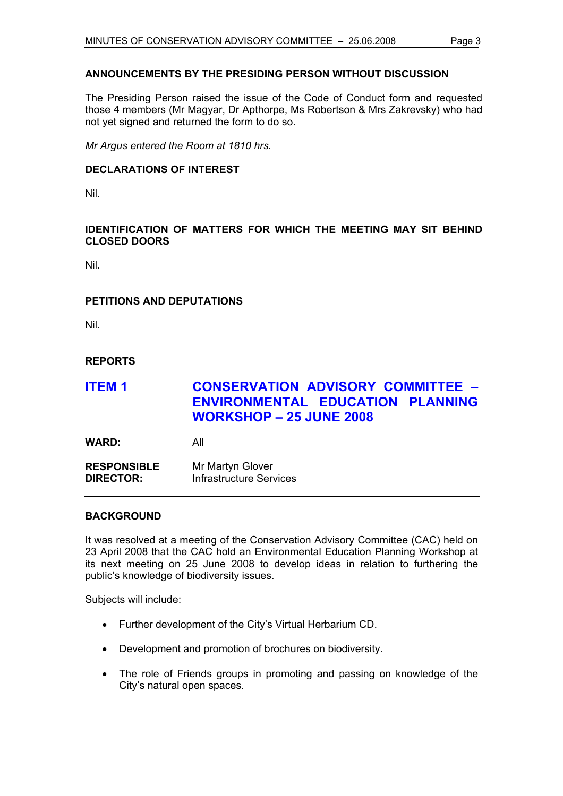# **ANNOUNCEMENTS BY THE PRESIDING PERSON WITHOUT DISCUSSION**

The Presiding Person raised the issue of the Code of Conduct form and requested those 4 members (Mr Magyar, Dr Apthorpe, Ms Robertson & Mrs Zakrevsky) who had not yet signed and returned the form to do so.

*Mr Argus entered the Room at 1810 hrs.* 

# **DECLARATIONS OF INTEREST**

Nil.

# **IDENTIFICATION OF MATTERS FOR WHICH THE MEETING MAY SIT BEHIND CLOSED DOORS**

Nil.

# **PETITIONS AND DEPUTATIONS**

Nil.

# **REPORTS**

# **ITEM 1 CONSERVATION ADVISORY COMMITTEE – ENVIRONMENTAL EDUCATION PLANNING WORKSHOP – 25 JUNE 2008**

**WARD:** All

**RESPONSIBLE** Mr Martyn Glover **DIRECTOR:** Infrastructure Services

# **BACKGROUND**

It was resolved at a meeting of the Conservation Advisory Committee (CAC) held on 23 April 2008 that the CAC hold an Environmental Education Planning Workshop at its next meeting on 25 June 2008 to develop ideas in relation to furthering the public's knowledge of biodiversity issues.

Subjects will include:

- Further development of the City's Virtual Herbarium CD.
- Development and promotion of brochures on biodiversity.
- The role of Friends groups in promoting and passing on knowledge of the City's natural open spaces.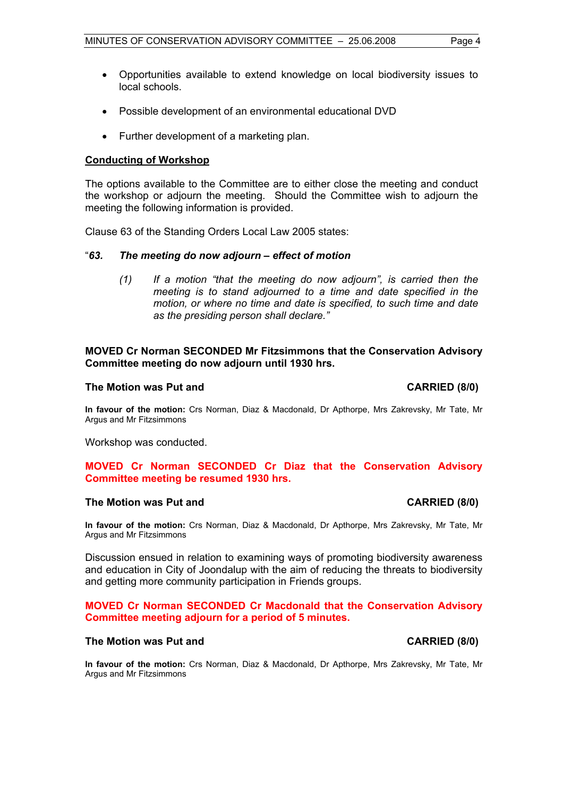- Opportunities available to extend knowledge on local biodiversity issues to local schools.
- Possible development of an environmental educational DVD
- Further development of a marketing plan.

# **Conducting of Workshop**

The options available to the Committee are to either close the meeting and conduct the workshop or adjourn the meeting. Should the Committee wish to adjourn the meeting the following information is provided.

Clause 63 of the Standing Orders Local Law 2005 states:

# "*63. The meeting do now adjourn – effect of motion*

*(1) If a motion "that the meeting do now adjourn", is carried then the meeting is to stand adjourned to a time and date specified in the motion, or where no time and date is specified, to such time and date as the presiding person shall declare."* 

# **MOVED Cr Norman SECONDED Mr Fitzsimmons that the Conservation Advisory Committee meeting do now adjourn until 1930 hrs.**

# The Motion was Put and **CARRIED** (8/0)

**In favour of the motion:** Crs Norman, Diaz & Macdonald, Dr Apthorpe, Mrs Zakrevsky, Mr Tate, Mr Argus and Mr Fitzsimmons

Workshop was conducted.

# **MOVED Cr Norman SECONDED Cr Diaz that the Conservation Advisory Committee meeting be resumed 1930 hrs.**

#### **The Motion was Put and CARRIED (8/0) CARRIED (8/0)**

**In favour of the motion:** Crs Norman, Diaz & Macdonald, Dr Apthorpe, Mrs Zakrevsky, Mr Tate, Mr Argus and Mr Fitzsimmons

Discussion ensued in relation to examining ways of promoting biodiversity awareness and education in City of Joondalup with the aim of reducing the threats to biodiversity and getting more community participation in Friends groups.

# **MOVED Cr Norman SECONDED Cr Macdonald that the Conservation Advisory Committee meeting adjourn for a period of 5 minutes.**

# The Motion was Put and **CARRIED** (8/0)

**In favour of the motion:** Crs Norman, Diaz & Macdonald, Dr Apthorpe, Mrs Zakrevsky, Mr Tate, Mr Argus and Mr Fitzsimmons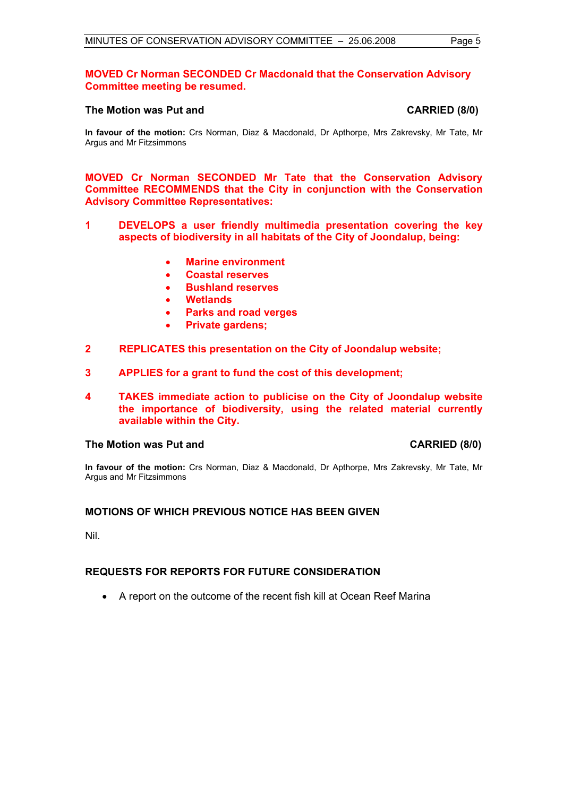# **The Motion was Put and CARRIED (8/0)**

**In favour of the motion:** Crs Norman, Diaz & Macdonald, Dr Apthorpe, Mrs Zakrevsky, Mr Tate, Mr Argus and Mr Fitzsimmons

**MOVED Cr Norman SECONDED Mr Tate that the Conservation Advisory Committee RECOMMENDS that the City in conjunction with the Conservation Advisory Committee Representatives:** 

- **1 DEVELOPS a user friendly multimedia presentation covering the key aspects of biodiversity in all habitats of the City of Joondalup, being:** 
	- **Marine environment**
	- **Coastal reserves**
	- **Bushland reserves**
	- **Wetlands**
	- **Parks and road verges**
	- **Private gardens;**
- **2 REPLICATES this presentation on the City of Joondalup website;**
- **3 APPLIES for a grant to fund the cost of this development;**
- **4 TAKES immediate action to publicise on the City of Joondalup website the importance of biodiversity, using the related material currently available within the City.**

#### **The Motion was Put and CARRIED (8/0)**

**In favour of the motion:** Crs Norman, Diaz & Macdonald, Dr Apthorpe, Mrs Zakrevsky, Mr Tate, Mr Argus and Mr Fitzsimmons

# **MOTIONS OF WHICH PREVIOUS NOTICE HAS BEEN GIVEN**

Nil.

#### **REQUESTS FOR REPORTS FOR FUTURE CONSIDERATION**

• A report on the outcome of the recent fish kill at Ocean Reef Marina